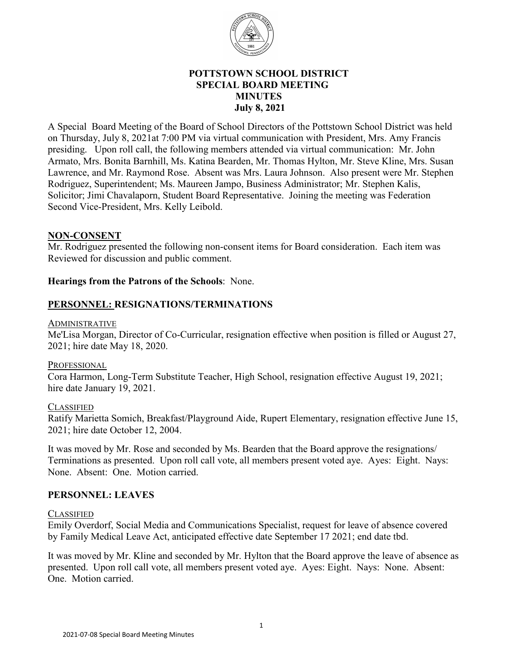

## **POTTSTOWN SCHOOL DISTRICT SPECIAL BOARD MEETING MINUTES July 8, 2021**

A Special Board Meeting of the Board of School Directors of the Pottstown School District was held on Thursday, July 8, 2021at 7:00 PM via virtual communication with President, Mrs. Amy Francis presiding. Upon roll call, the following members attended via virtual communication: Mr. John Armato, Mrs. Bonita Barnhill, Ms. Katina Bearden, Mr. Thomas Hylton, Mr. Steve Kline, Mrs. Susan Lawrence, and Mr. Raymond Rose. Absent was Mrs. Laura Johnson. Also present were Mr. Stephen Rodriguez, Superintendent; Ms. Maureen Jampo, Business Administrator; Mr. Stephen Kalis, Solicitor; Jimi Chavalaporn, Student Board Representative. Joining the meeting was Federation Second Vice-President, Mrs. Kelly Leibold.

## **NON-CONSENT**

Mr. Rodriguez presented the following non-consent items for Board consideration. Each item was Reviewed for discussion and public comment.

## **Hearings from the Patrons of the Schools**: None.

## **PERSONNEL: RESIGNATIONS/TERMINATIONS**

#### ADMINISTRATIVE

Me'Lisa Morgan, Director of Co-Curricular, resignation effective when position is filled or August 27, 2021; hire date May 18, 2020.

## PROFESSIONAL

Cora Harmon, Long-Term Substitute Teacher, High School, resignation effective August 19, 2021; hire date January 19, 2021.

## **CLASSIFIED**

Ratify Marietta Somich, Breakfast/Playground Aide, Rupert Elementary, resignation effective June 15, 2021; hire date October 12, 2004.

It was moved by Mr. Rose and seconded by Ms. Bearden that the Board approve the resignations/ Terminations as presented. Upon roll call vote, all members present voted aye. Ayes: Eight. Nays: None. Absent: One. Motion carried.

## **PERSONNEL: LEAVES**

## **CLASSIFIED**

Emily Overdorf, Social Media and Communications Specialist, request for leave of absence covered by Family Medical Leave Act, anticipated effective date September 17 2021; end date tbd.

It was moved by Mr. Kline and seconded by Mr. Hylton that the Board approve the leave of absence as presented. Upon roll call vote, all members present voted aye. Ayes: Eight. Nays: None. Absent: One. Motion carried.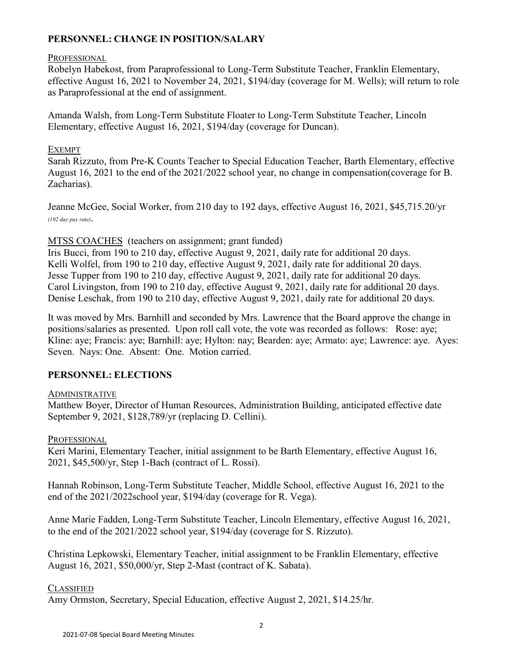## **PERSONNEL: CHANGE IN POSITION/SALARY**

## PROFESSIONAL

Robelyn Habekost, from Paraprofessional to Long-Term Substitute Teacher, Franklin Elementary, effective August 16, 2021 to November 24, 2021, \$194/day (coverage for M. Wells); will return to role as Paraprofessional at the end of assignment.

Amanda Walsh, from Long-Term Substitute Floater to Long-Term Substitute Teacher, Lincoln Elementary, effective August 16, 2021, \$194/day (coverage for Duncan).

## EXEMPT

Sarah Rizzuto, from Pre-K Counts Teacher to Special Education Teacher, Barth Elementary, effective August 16, 2021 to the end of the 2021/2022 school year, no change in compensation(coverage for B. Zacharias).

Jeanne McGee, Social Worker, from 210 day to 192 days, effective August 16, 2021, \$45,715.20/yr *(192 day pay rate)*.

## MTSS COACHES (teachers on assignment; grant funded)

Iris Bucci, from 190 to 210 day, effective August 9, 2021, daily rate for additional 20 days. Kelli Wolfel, from 190 to 210 day, effective August 9, 2021, daily rate for additional 20 days. Jesse Tupper from 190 to 210 day, effective August 9, 2021, daily rate for additional 20 days. Carol Livingston, from 190 to 210 day, effective August 9, 2021, daily rate for additional 20 days. Denise Leschak, from 190 to 210 day, effective August 9, 2021, daily rate for additional 20 days.

It was moved by Mrs. Barnhill and seconded by Mrs. Lawrence that the Board approve the change in positions/salaries as presented. Upon roll call vote, the vote was recorded as follows: Rose: aye; Kline: aye; Francis: aye; Barnhill: aye; Hylton: nay; Bearden: aye; Armato: aye; Lawrence: aye. Ayes: Seven. Nays: One. Absent: One. Motion carried.

## **PERSONNEL: ELECTIONS**

## ADMINISTRATIVE

Matthew Boyer, Director of Human Resources, Administration Building, anticipated effective date September 9, 2021, \$128,789/yr (replacing D. Cellini).

## **PROFESSIONAL**

Keri Marini, Elementary Teacher, initial assignment to be Barth Elementary, effective August 16, 2021, \$45,500/yr, Step 1-Bach (contract of L. Rossi).

Hannah Robinson, Long-Term Substitute Teacher, Middle School, effective August 16, 2021 to the end of the 2021/2022school year, \$194/day (coverage for R. Vega).

Anne Marie Fadden, Long-Term Substitute Teacher, Lincoln Elementary, effective August 16, 2021, to the end of the 2021/2022 school year, \$194/day (coverage for S. Rizzuto).

Christina Lepkowski, Elementary Teacher, initial assignment to be Franklin Elementary, effective August 16, 2021, \$50,000/yr, Step 2-Mast (contract of K. Sabata).

## **CLASSIFIED**

Amy Ormston, Secretary, Special Education, effective August 2, 2021, \$14.25/hr.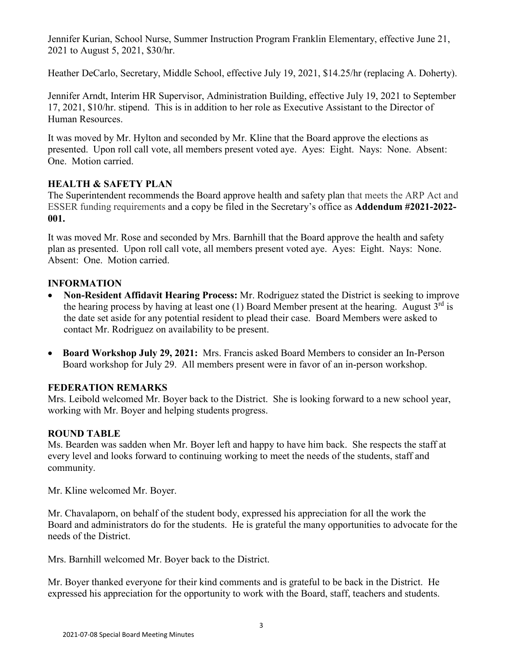Jennifer Kurian, School Nurse, Summer Instruction Program Franklin Elementary, effective June 21, 2021 to August 5, 2021, \$30/hr.

Heather DeCarlo, Secretary, Middle School, effective July 19, 2021, \$14.25/hr (replacing A. Doherty).

Jennifer Arndt, Interim HR Supervisor, Administration Building, effective July 19, 2021 to September 17, 2021, \$10/hr. stipend. This is in addition to her role as Executive Assistant to the Director of Human Resources.

It was moved by Mr. Hylton and seconded by Mr. Kline that the Board approve the elections as presented. Upon roll call vote, all members present voted aye. Ayes: Eight. Nays: None. Absent: One. Motion carried.

## **HEALTH & SAFETY PLAN**

The Superintendent recommends the Board approve health and safety plan that meets the ARP Act and ESSER funding requirements and a copy be filed in the Secretary's office as **Addendum #2021-2022- 001.** 

It was moved Mr. Rose and seconded by Mrs. Barnhill that the Board approve the health and safety plan as presented. Upon roll call vote, all members present voted aye. Ayes: Eight. Nays: None. Absent: One. Motion carried.

# **INFORMATION**

- • **Non-Resident Affidavit Hearing Process:** Mr. Rodriguez stated the District is seeking to improve the hearing process by having at least one (1) Board Member present at the hearing. August  $3<sup>rd</sup>$  is the date set aside for any potential resident to plead their case. Board Members were asked to contact Mr. Rodriguez on availability to be present.
- **Board Workshop July 29, 2021:** Mrs. Francis asked Board Members to consider an In-Person Board workshop for July 29. All members present were in favor of an in-person workshop.

# **FEDERATION REMARKS**

Mrs. Leibold welcomed Mr. Boyer back to the District. She is looking forward to a new school year, working with Mr. Boyer and helping students progress.

# **ROUND TABLE**

Ms. Bearden was sadden when Mr. Boyer left and happy to have him back. She respects the staff at every level and looks forward to continuing working to meet the needs of the students, staff and community.

Mr. Kline welcomed Mr. Boyer.

Mr. Chavalaporn, on behalf of the student body, expressed his appreciation for all the work the Board and administrators do for the students. He is grateful the many opportunities to advocate for the needs of the District.

Mrs. Barnhill welcomed Mr. Boyer back to the District.

Mr. Boyer thanked everyone for their kind comments and is grateful to be back in the District. He expressed his appreciation for the opportunity to work with the Board, staff, teachers and students.